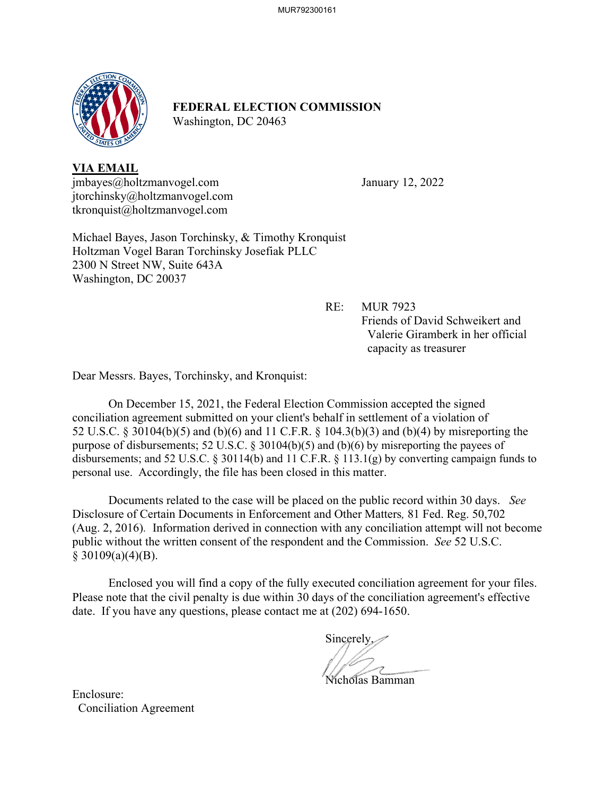

# **FEDERAL ELECTION COMMISSION** Washington, DC 20463

**VIA EMAIL** jmbayes@holtzmanvogel.com January 12, 2022 jtorchinsky@holtzmanvogel.com tkronquist@holtzmanvogel.com

Michael Bayes, Jason Torchinsky, & Timothy Kronquist Holtzman Vogel Baran Torchinsky Josefiak PLLC 2300 N Street NW, Suite 643A Washington, DC 20037

> RE: MUR 7923 Friends of David Schweikert and Valerie Giramberk in her official capacity as treasurer

Dear Messrs. Bayes, Torchinsky, and Kronquist:

On December 15, 2021, the Federal Election Commission accepted the signed conciliation agreement submitted on your client's behalf in settlement of a violation of 52 U.S.C. § 30104(b)(5) and (b)(6) and 11 C.F.R. § 104.3(b)(3) and (b)(4) by misreporting the purpose of disbursements; 52 U.S.C. § 30104(b)(5) and (b)(6) by misreporting the payees of disbursements; and 52 U.S.C. § 30114(b) and 11 C.F.R. § 113.1(g) by converting campaign funds to personal use. Accordingly, the file has been closed in this matter.

Documents related to the case will be placed on the public record within 30 days. *See*  Disclosure of Certain Documents in Enforcement and Other Matters*,* 81 Fed. Reg. 50,702 (Aug. 2, 2016). Information derived in connection with any conciliation attempt will not become public without the written consent of the respondent and the Commission. *See* 52 U.S.C.  $§$  30109(a)(4)(B).

 Enclosed you will find a copy of the fully executed conciliation agreement for your files. Please note that the civil penalty is due within 30 days of the conciliation agreement's effective date. If you have any questions, please contact me at (202) 694-1650.

Sincerely,

Nicholas Bamman

Enclosure: Conciliation Agreement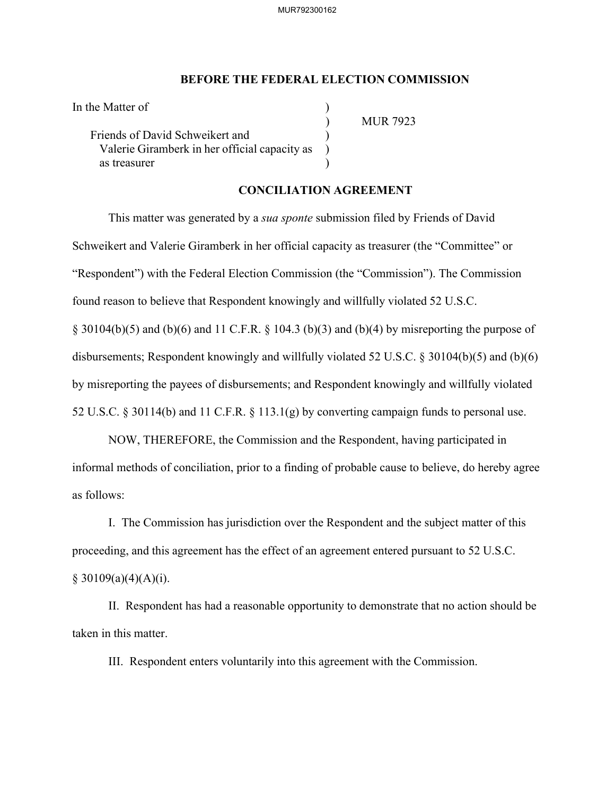#### **BEFORE THE FEDERAL ELECTION COMMISSION**

| In the Matter of                              |  |
|-----------------------------------------------|--|
|                                               |  |
| Friends of David Schweikert and               |  |
| Valerie Giramberk in her official capacity as |  |
| as treasurer                                  |  |

) MUR 7923

## **CONCILIATION AGREEMENT**

This matter was generated by a *sua sponte* submission filed by Friends of David Schweikert and Valerie Giramberk in her official capacity as treasurer (the "Committee" or "Respondent") with the Federal Election Commission (the "Commission"). The Commission found reason to believe that Respondent knowingly and willfully violated 52 U.S.C.  $\S$  30104(b)(5) and (b)(6) and 11 C.F.R.  $\S$  104.3 (b)(3) and (b)(4) by misreporting the purpose of

disbursements; Respondent knowingly and willfully violated 52 U.S.C. § 30104(b)(5) and (b)(6)

by misreporting the payees of disbursements; and Respondent knowingly and willfully violated

52 U.S.C. § 30114(b) and 11 C.F.R. § 113.1(g) by converting campaign funds to personal use.

NOW, THEREFORE, the Commission and the Respondent, having participated in informal methods of conciliation, prior to a finding of probable cause to believe, do hereby agree as follows:

I. The Commission has jurisdiction over the Respondent and the subject matter of this proceeding, and this agreement has the effect of an agreement entered pursuant to 52 U.S.C.  $§ 30109(a)(4)(A)(i).$ 

II. Respondent has had a reasonable opportunity to demonstrate that no action should be taken in this matter.

III. Respondent enters voluntarily into this agreement with the Commission.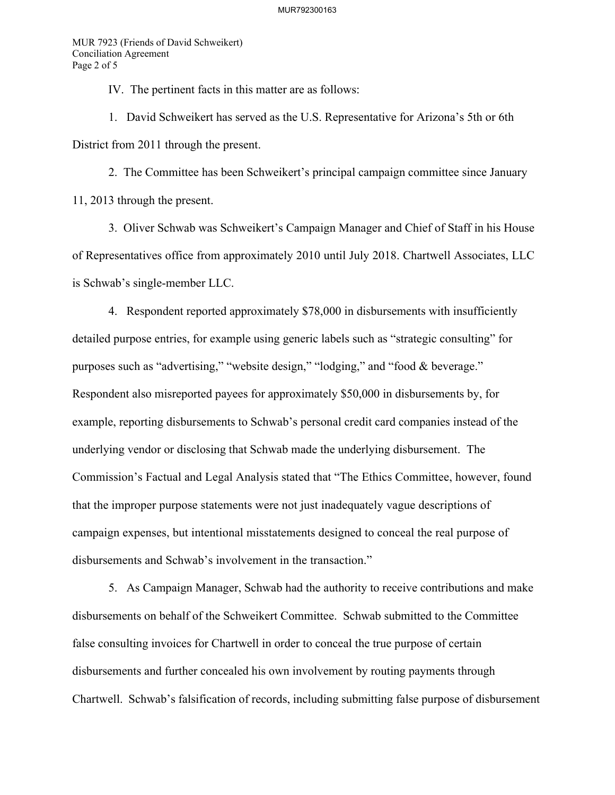MUR 7923 (Friends of David Schweikert) Conciliation Agreement Page 2 of 5

IV. The pertinent facts in this matter are as follows:

1. David Schweikert has served as the U.S. Representative for Arizona's 5th or 6th District from 2011 through the present.

2. The Committee has been Schweikert's principal campaign committee since January 11, 2013 through the present.

3. Oliver Schwab was Schweikert's Campaign Manager and Chief of Staff in his House of Representatives office from approximately 2010 until July 2018. Chartwell Associates, LLC is Schwab's single-member LLC.

4. Respondent reported approximately \$78,000 in disbursements with insufficiently detailed purpose entries, for example using generic labels such as "strategic consulting" for purposes such as "advertising," "website design," "lodging," and "food & beverage." Respondent also misreported payees for approximately \$50,000 in disbursements by, for example, reporting disbursements to Schwab's personal credit card companies instead of the underlying vendor or disclosing that Schwab made the underlying disbursement. The Commission's Factual and Legal Analysis stated that "The Ethics Committee, however, found that the improper purpose statements were not just inadequately vague descriptions of campaign expenses, but intentional misstatements designed to conceal the real purpose of disbursements and Schwab's involvement in the transaction."

5. As Campaign Manager, Schwab had the authority to receive contributions and make disbursements on behalf of the Schweikert Committee. Schwab submitted to the Committee false consulting invoices for Chartwell in order to conceal the true purpose of certain disbursements and further concealed his own involvement by routing payments through Chartwell. Schwab's falsification of records, including submitting false purpose of disbursement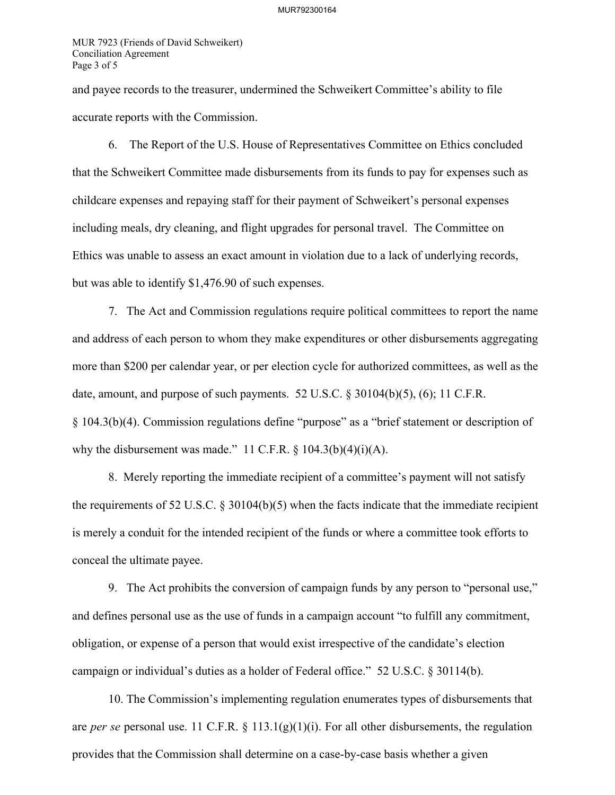MUR 7923 (Friends of David Schweikert) Conciliation Agreement Page 3 of 5

and payee records to the treasurer, undermined the Schweikert Committee's ability to file accurate reports with the Commission.

6. The Report of the U.S. House of Representatives Committee on Ethics concluded that the Schweikert Committee made disbursements from its funds to pay for expenses such as childcare expenses and repaying staff for their payment of Schweikert's personal expenses including meals, dry cleaning, and flight upgrades for personal travel. The Committee on Ethics was unable to assess an exact amount in violation due to a lack of underlying records, but was able to identify \$1,476.90 of such expenses.

7. The Act and Commission regulations require political committees to report the name and address of each person to whom they make expenditures or other disbursements aggregating more than \$200 per calendar year, or per election cycle for authorized committees, as well as the date, amount, and purpose of such payments. 52 U.S.C. § 30104(b)(5), (6); 11 C.F.R. § 104.3(b)(4). Commission regulations define "purpose" as a "brief statement or description of why the disbursement was made." 11 C.F.R.  $\S$  104.3(b)(4)(i)(A).

8. Merely reporting the immediate recipient of a committee's payment will not satisfy the requirements of 52 U.S.C. § 30104(b)(5) when the facts indicate that the immediate recipient is merely a conduit for the intended recipient of the funds or where a committee took efforts to conceal the ultimate payee.

9. The Act prohibits the conversion of campaign funds by any person to "personal use," and defines personal use as the use of funds in a campaign account "to fulfill any commitment, obligation, or expense of a person that would exist irrespective of the candidate's election campaign or individual's duties as a holder of Federal office." 52 U.S.C. § 30114(b).

10. The Commission's implementing regulation enumerates types of disbursements that are *per se* personal use. 11 C.F.R. § 113.1(g)(1)(i). For all other disbursements, the regulation provides that the Commission shall determine on a case-by-case basis whether a given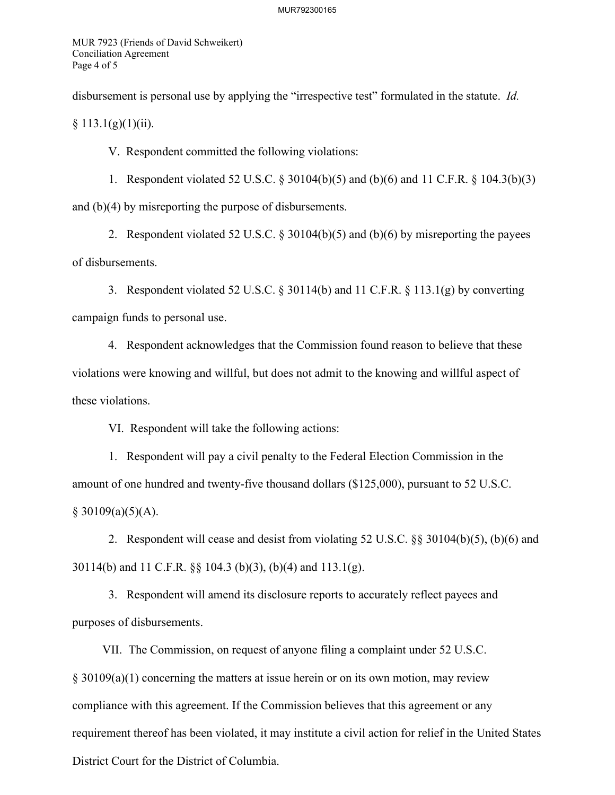MUR 7923 (Friends of David Schweikert) Conciliation Agreement Page 4 of 5

disbursement is personal use by applying the "irrespective test" formulated in the statute. *Id.* 

 $§ 113.1(g)(1)(ii).$ 

V. Respondent committed the following violations:

1. Respondent violated 52 U.S.C. § 30104(b)(5) and (b)(6) and11 C.F.R. § 104.3(b)(3) and (b)(4) by misreporting the purpose of disbursements.

2. Respondent violated 52 U.S.C. § 30104(b)(5) and (b)(6) by misreporting the payees of disbursements.

3. Respondent violated 52 U.S.C. § 30114(b) and 11 C.F.R. § 113.1(g) by converting campaign funds to personal use.

4. Respondent acknowledges that the Commission found reason to believe that these violations were knowing and willful, but does not admit to the knowing and willful aspect of these violations.

VI. Respondent will take the following actions:

1. Respondent will pay a civil penalty to the Federal Election Commission in the amount of one hundred and twenty-five thousand dollars (\$125,000), pursuant to 52 U.S.C.  $§ 30109(a)(5)(A).$ 

2. Respondent will cease and desist from violating 52 U.S.C. §§ 30104(b)(5), (b)(6) and 30114(b) and 11 C.F.R. §§ 104.3 (b)(3), (b)(4) and 113.1(g).

3. Respondent will amend its disclosure reports to accurately reflect payees and purposes of disbursements.

VII. The Commission, on request of anyone filing a complaint under 52 U.S.C. § 30109(a)(1) concerning the matters at issue herein or on its own motion, may review compliance with this agreement. If the Commission believes that this agreement or any requirement thereof has been violated, it may institute a civil action for relief in the United States District Court for the District of Columbia.